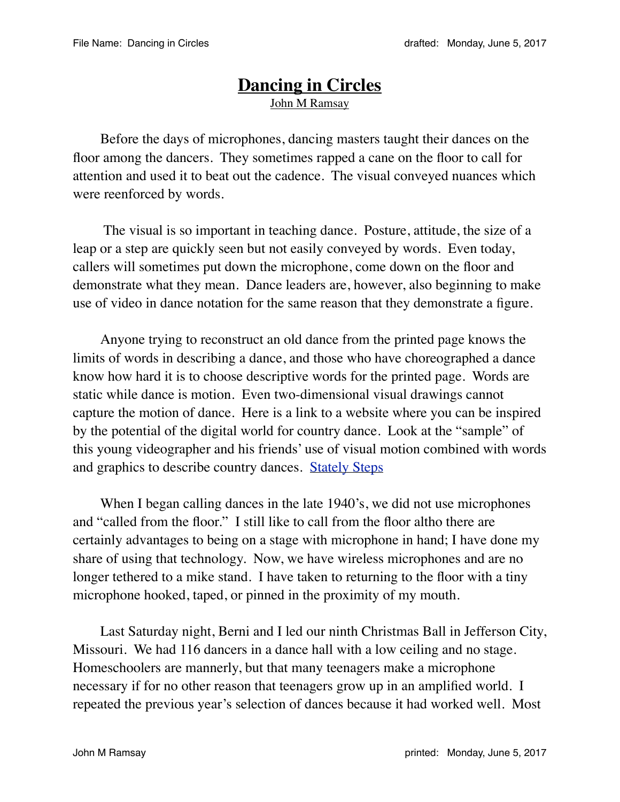## **Dancing in Circles** John M Ramsay

Before the days of microphones, dancing masters taught their dances on the floor among the dancers. They sometimes rapped a cane on the floor to call for attention and used it to beat out the cadence. The visual conveyed nuances which were reenforced by words.

 The visual is so important in teaching dance. Posture, attitude, the size of a leap or a step are quickly seen but not easily conveyed by words. Even today, callers will sometimes put down the microphone, come down on the floor and demonstrate what they mean. Dance leaders are, however, also beginning to make use of video in dance notation for the same reason that they demonstrate a figure.

Anyone trying to reconstruct an old dance from the printed page knows the limits of words in describing a dance, and those who have choreographed a dance know how hard it is to choose descriptive words for the printed page. Words are static while dance is motion. Even two-dimensional visual drawings cannot capture the motion of dance. Here is a link to a website where you can be inspired by the potential of the digital world for country dance. Look at the "sample" of this young videographer and his friends' use of visual motion combined with words and graphics to describe country dances. [Stately Steps](http://www.statelysteps.com/product/2-dvds-share-save/) 

When I began calling dances in the late 1940's, we did not use microphones and "called from the floor." I still like to call from the floor altho there are certainly advantages to being on a stage with microphone in hand; I have done my share of using that technology. Now, we have wireless microphones and are no longer tethered to a mike stand. I have taken to returning to the floor with a tiny microphone hooked, taped, or pinned in the proximity of my mouth.

Last Saturday night, Berni and I led our ninth Christmas Ball in Jefferson City, Missouri. We had 116 dancers in a dance hall with a low ceiling and no stage. Homeschoolers are mannerly, but that many teenagers make a microphone necessary if for no other reason that teenagers grow up in an amplified world. I repeated the previous year's selection of dances because it had worked well. Most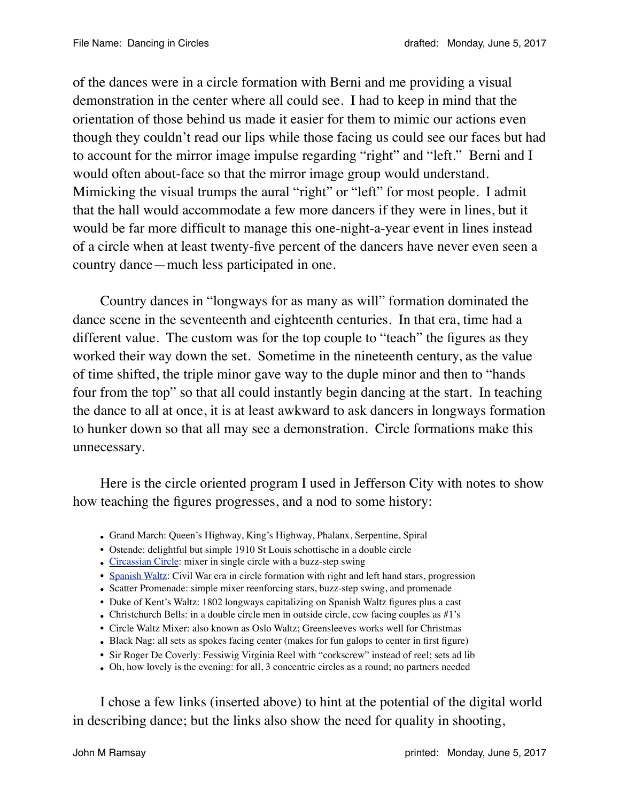of the dances were in a circle formation with Berni and me providing a visual demonstration in the center where all could see. I had to keep in mind that the orientation of those behind us made it easier for them to mimic our actions even though they couldn't read our lips while those facing us could see our faces but had to account for the mirror image impulse regarding "right" and "left." Berni and I would often about-face so that the mirror image group would understand. Mimicking the visual trumps the aural "right" or "left" for most people. I admit that the hall would accommodate a few more dancers if they were in lines, but it would be far more difficult to manage this one-night-a-year event in lines instead of a circle when at least twenty-five percent of the dancers have never even seen a country dance—much less participated in one.

Country dances in "longways for as many as will" formation dominated the dance scene in the seventeenth and eighteenth centuries. In that era, time had a different value. The custom was for the top couple to "teach" the figures as they worked their way down the set. Sometime in the nineteenth century, as the value of time shifted, the triple minor gave way to the duple minor and then to "hands four from the top" so that all could instantly begin dancing at the start. In teaching the dance to all at once, it is at least awkward to ask dancers in longways formation to hunker down so that all may see a demonstration. Circle formations make this unnecessary.

Here is the circle oriented program I used in Jefferson City with notes to show how teaching the figures progresses, and a nod to some history:

- Grand March: Queen's Highway, King's Highway, Phalanx, Serpentine, Spiral
- Ostende: delightful but simple 1910 St Louis schottische in a double circle
- [Circassian Circle:](http://www.youtube.com/watch?v=v_GoW-wQD_s) mixer in single circle with a buzz-step swing
- [Spanish Waltz](http://www.youtube.com/watch?v=Dcd-vi9Lcmc): Civil War era in circle formation with right and left hand stars, progression
- Scatter Promenade: simple mixer reenforcing stars, buzz-step swing, and promenade
- Duke of Kent's Waltz: 1802 longways capitalizing on Spanish Waltz figures plus a cast
- Christchurch Bells: in a double circle men in outside circle, ccw facing couples as  $\#1$ 's
- Circle Waltz Mixer: also known as Oslo Waltz; Greensleeves works well for Christmas
- Black Nag: all sets as spokes facing center (makes for fun galops to center in first figure)
- Sir Roger De Coverly: Fessiwig Virginia Reel with "corkscrew" instead of reel; sets ad lib
- Oh, how lovely is the evening: for all, 3 concentric circles as a round; no partners needed

I chose a few links (inserted above) to hint at the potential of the digital world in describing dance; but the links also show the need for quality in shooting,